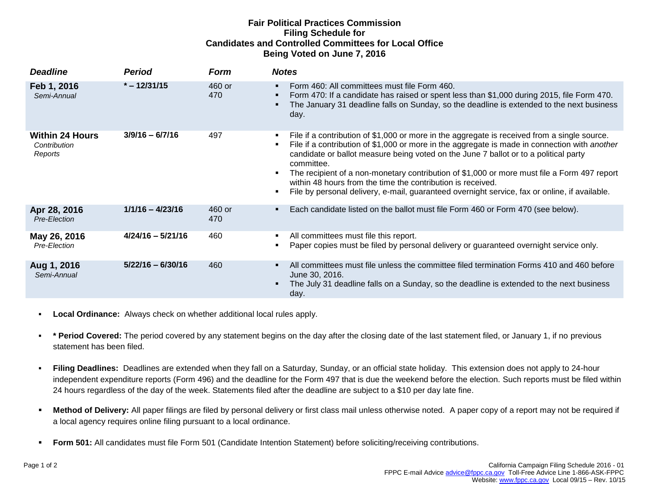## **Fair Political Practices Commission Filing Schedule for Candidates and Controlled Committees for Local Office Being Voted on June 7, 2016**

| <b>Deadline</b>                                   | Period              | <b>Form</b>   | <b>Notes</b>                                                                                                                                                                                                                                                                                                                                                                                                                                                                                                                                                                                   |
|---------------------------------------------------|---------------------|---------------|------------------------------------------------------------------------------------------------------------------------------------------------------------------------------------------------------------------------------------------------------------------------------------------------------------------------------------------------------------------------------------------------------------------------------------------------------------------------------------------------------------------------------------------------------------------------------------------------|
| Feb 1, 2016<br>Semi-Annual                        | $* - 12/31/15$      | 460 or<br>470 | Form 460: All committees must file Form 460.<br>$\blacksquare$<br>Form 470: If a candidate has raised or spent less than \$1,000 during 2015, file Form 470.<br>٠<br>The January 31 deadline falls on Sunday, so the deadline is extended to the next business<br>٠<br>day.                                                                                                                                                                                                                                                                                                                    |
| <b>Within 24 Hours</b><br>Contribution<br>Reports | $3/9/16 - 6/7/16$   | 497           | File if a contribution of \$1,000 or more in the aggregate is received from a single source.<br>File if a contribution of \$1,000 or more in the aggregate is made in connection with another<br>٠<br>candidate or ballot measure being voted on the June 7 ballot or to a political party<br>committee.<br>The recipient of a non-monetary contribution of \$1,000 or more must file a Form 497 report<br>$\blacksquare$<br>within 48 hours from the time the contribution is received.<br>File by personal delivery, e-mail, guaranteed overnight service, fax or online, if available.<br>٠ |
| Apr 28, 2016<br>Pre-Election                      | $1/1/16 - 4/23/16$  | 460 or<br>470 | Each candidate listed on the ballot must file Form 460 or Form 470 (see below).<br>٠                                                                                                                                                                                                                                                                                                                                                                                                                                                                                                           |
| May 26, 2016<br>Pre-Election                      | $4/24/16 - 5/21/16$ | 460           | All committees must file this report.<br>Paper copies must be filed by personal delivery or guaranteed overnight service only.                                                                                                                                                                                                                                                                                                                                                                                                                                                                 |
| Aug 1, 2016<br>Semi-Annual                        | $5/22/16 - 6/30/16$ | 460           | All committees must file unless the committee filed termination Forms 410 and 460 before<br>$\blacksquare$<br>June 30, 2016.<br>The July 31 deadline falls on a Sunday, so the deadline is extended to the next business<br>٠<br>day.                                                                                                                                                                                                                                                                                                                                                          |

- **Local Ordinance:** Always check on whether additional local rules apply.
- **\* Period Covered:** The period covered by any statement begins on the day after the closing date of the last statement filed, or January 1, if no previous statement has been filed.
- **Filing Deadlines:** Deadlines are extended when they fall on a Saturday, Sunday, or an official state holiday. This extension does not apply to 24-hour independent expenditure reports (Form 496) and the deadline for the Form 497 that is due the weekend before the election. Such reports must be filed within 24 hours regardless of the day of the week. Statements filed after the deadline are subject to a \$10 per day late fine.
- **Method of Delivery:** All paper filings are filed by personal delivery or first class mail unless otherwise noted. A paper copy of a report may not be required if a local agency requires online filing pursuant to a local ordinance.
- **Form 501:** All candidates must file Form 501 (Candidate Intention Statement) before soliciting/receiving contributions.